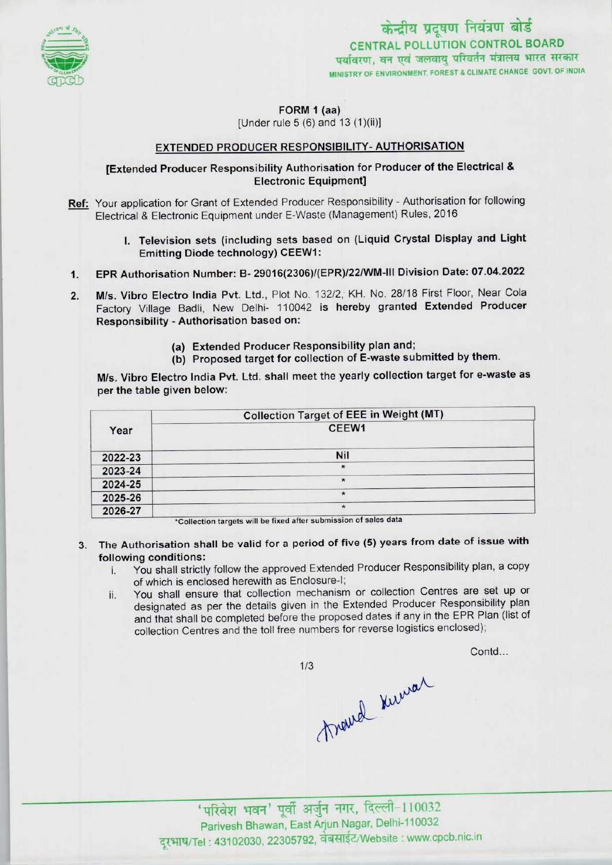

FORM 1 (aa)

[Under rule 5 (6) and 13 (1)(ii)]

## EXTENDED PRODUCER RESPONSIBILITY-AUTHORISATION

## [Extended Producer Responsibility Authorisation for Producer of the Electrical & Electronic Equipment]

- Ref: Your application for Grant of Extended Producer Responsibility Authorisation for following Electrical & Electronic Equipment under E-Waste (Management) Rules, 2016
- I. Television sets (including sets based on (Liquid Crystal Display and Light Emitting Diode technology) CEEW1: 1. Television sets (including sets based on (Eigene Stype) and Eigene<br>Emitting Diode technology) CEEW1:<br>1. EPR Authorisation Number: B- 29016(2306)/(EPR)/22/WM-III Division Date: 07.04.2022
- 
- 2. EPR Authorisation Number: B- 29016(2306)/(EPR)/22/WM-III Division Date: 07.04.2022<br>2. M/s. Vibro Electro India Pvt. Ltd., Plot No. 132/2, KH. No. 28/18 First Floor, Near Cola M/s. Vibro Electro India Pvt. Ltd., Plot No. 132/2, KH. No. 28/18 First Floor, Near Cola<br>Factory Village Badli, New Delhi- 110042 is hereby granted Extended Producer Responsibility - Authorisation based on:
	- (a) Extended Producer Responsibility plan and;
	- (b) Proposed target for collection of E-waste submitted by them.

M/s. Vibro Electro India Pvt. Ltd. shall meet the yearly collection target for e-waste as per the table given below:

|         | <b>Collection Target of EEE in Weight (MT)</b> |
|---------|------------------------------------------------|
| Year    | CEEW1                                          |
| 2022-23 | Nil                                            |
| 2023-24 | $\star$                                        |
| 2024-25 | $\star$                                        |
| 2025-26 | $\star$                                        |
| 2026-27 | $\star$                                        |

\*Collection targets will be fixed after submission of sales data

3. The Authorisation shall be valid for a period of five (5) years from date of issue with following conditions:

 $1/3$ 

- i. You shall strictly follow the approved Extended Producer Responsibility plan, <sup>a</sup> copy of which is enclosed herewith as Enclosure-!;
- ii. You shall ensure that collection mechanism or collection Centres are set up or designated as per the details given in the Extended Producer Responsibility plan and that shall be completed before the proposed dates if any in the EPR Plan (list of collection Centres and the toll free numbers for reverse logistics enclosed);

Contd...

travel kurrar

'परिवेश भवन' पूर्वी अर्जुन नगर, दिल्ली-110032<br>Parivesh Bhawan, East Arjun Nagar, Delhi-110032 दूरभाष/Tel: 43102030, 22305792, वेबसाईट/Website : www.cpcb.nic.in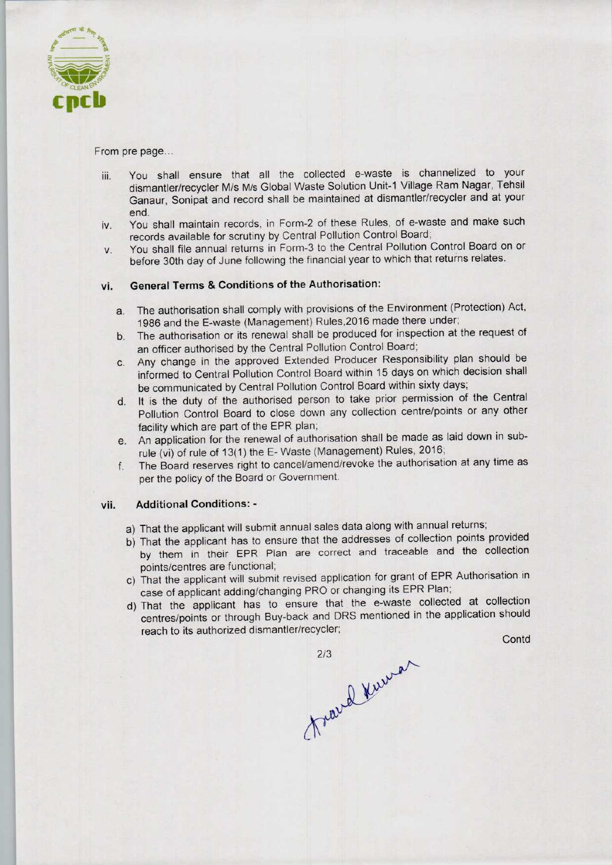

From pre page...

- iii. You shall ensure that all the collected e-waste is channelized to your dismantler/recycler M/s M/s Global Waste Solution Unit-1 Village Ram Nagar, Tehsil Ganaur, Sonipat and record shall be maintained at dismantler/recycler and at your end.
- iv. You shall maintain records, in Form-2 of these Rules, of e-waste and make such records available for scrutiny by Central Pollution Control Board;
- v. You shall file annual returns in Form-3 to the Central Pollution Control Board on or before 30th day of June following the financial year to which that returns relates.

# vi. General Terms & Conditions of the Authorisation:

- a. The authorisation shall comply with provisions of the Environment (Protection) Act, 1986 and the E-waste (Management) Rules,2016 made there under;
- b. The authorisation or its renewal shall be produced for inspection at the request of an officer authorised by the Central Pollution Control Board;
- c.Any change in the approved Extended Producer Responsibility plan should be informed to Central Pollution Control Board within 15 days on which decision shall be communicated by Central Pollution Control Board within sixty days;
- d. It is the duty of the authorised person to take prior permission of the Central Pollution Control Board to close down any collection centre/points or any other facility which are part of the EPR plan;
- e.An application for the renewal of authorisation shall be made aslaid down in subrule (vi) of rule of 13(1) the E-Waste (Management) Rules, 2016;
- f. The Board reserves right to cancel/amend/revoke the authorisation at any time as per the policy of the Board or Government.

### vii. Additional Conditions: -

- a) That the applicant will submit annual sales data along with annual returns;
- b)That the applicant has to ensure that the addresses of collection points provided by them in their EPR Plan are correct and traceable and the collection points/centres are functional;
- points/centres are runctional,<br>c) That the applicant will submit revised application for grant of EPR Authorisation in case of applicant adding/changing PRO or changing its EPR Plan;
- d)That the applicant has to ensure that the e-waste collected at collection centres/points or through Buy-back and DRS mentioned in the application should Pollution Control Board to close down any collection centrality which are part of the EPR plan;<br>An application for the renewal of authorisation shall be made in the relation of authorisation shall be made in the HOM of rul Ie and the collection<br>of EPR Authorisation in<br>R Plan;<br>collected at collection<br>the application should<br>Conte

travel Kuwar